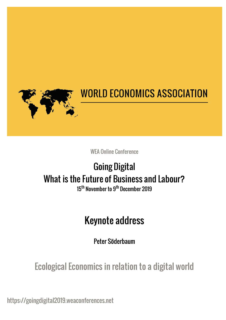

## **WORLD ECONOMICS ASSOCIATION**

WEA Online Conference

# Going Digital What is the Future of Business and Labour?

15<sup>th</sup> November to 9<sup>th</sup> December 2019

### Keynote address

Peter Söderbaum

Ecological Economics in relation to a digital world

https://goingdigital2019.weaconferences.net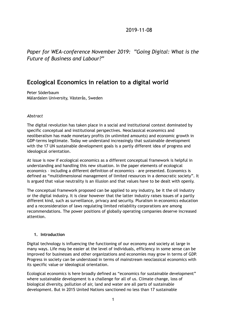#### 2019-11-08

*Paper for WEA-conference November 2019: "Going Digital: What is the Future of Business and Labour?"* 

### **Ecological Economics in relation to a digital world**

Peter Söderbaum Mälardalen University, Västerås, Sweden

#### *Abstract*

The digital revolution has taken place in a social and institutional context dominated by specific conceptual and institutional perspectives. Neoclassical economics and neoliberalism has made monetary profits (in unlimited amounts) and economic growth in GDP-terms legitimate. Today we understand increasingly that sustainable development with the 17 UN sustainable development goals is a partly different idea of progress and ideological orientation.

At issue is now if ecological economics as a different conceptual framework is helpful in understanding and handling this new situation. In the paper elements of ecological economics – including a different definition of economics – are presented. Economics is defined as "multidimensional management of limited resources in a democratic society". It is argued that value neutrality is an illusion and that values have to be dealt with openly.

The conceptual framework proposed can be applied to any industry, be it the oil industry or the digital industry. It is clear however that the latter industry raises issues of a partly different kind, such as surveillance, privacy and security. Pluralism in economics education and a reconsideration of laws regulating limited reliability corporations are among recommendations. The power positions of globally operating companies deserve increased attention.

#### **1. Introduction**

Digital technology is influencing the functioning of our economy and society at large in many ways. Life may be easier at the level of individuals, efficiency in some sense can be improved for businesses and other organizations and economies may grow in terms of GDP. Progress in society can be understood in terms of mainstream neoclassical economics with its specific value or ideological orientation.

Ecological economics is here broadly defined as "economics for sustainable development" where sustainable development is a challenge for all of us. Climate change, loss of biological diversity, pollution of air, land and water are all parts of sustainable development. But in 2015 United Nations sanctioned no less than 17 sustainable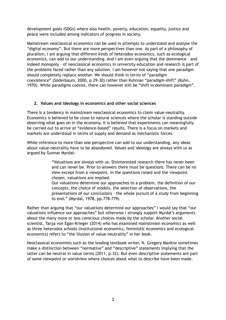development goals (SDGs) where also health, poverty, education, equality, justice and peace were included among indicators of progress in society.

Mainstream neoclassical economics can be used in attempts to understand and analyse the "digital economy". But there are more perspectives than one. As part of a philosophy of pluralism, I am arguing that different kinds of heterodox economics, such as ecological economics, can add to our understanding. And I am even arguing that the dominance – and indeed monopoly – of neoclassical economics in university education and research is part of the problems faced rather than any solution. I am however not saying that one paradigm should completely replace another. We should think in terms of "paradigm coexistence" (Söderbaum, 2000, p.29-30) rather than Kuhnian "paradigm-shift" (Kuhn, 1970). While paradigms coexist, there can however still be "shift in dominant paradigm".

#### **2. Values and ideology in economics and other social sciences**

There is a tendency in mainstream neoclassical economics to claim value-neutrality. Economics is believed to be close to natural sciences where the scholar is standing outside observing what goes on in the economy. It is believed that experiments can meaningfully be carried out to arrive at "evidence-based" results. There is a focus on markets and markets are understood in terms of supply and demand as mechanistic forces.

While reference to more than one perspective can add to our understanding, any ideas about value-neutrality have to be abandoned. Values and ideology are always with us as argued by Gunnar Myrdal:

> "Valuations are always with us. Disinterested research there has never been and can never be. Prior to answers there must be questions. There can be no view except from a viewpoint. In the questions raised and the viewpoint chosen, valuations are implied.

Our valuations determine our approaches to a problem, the definition of our concepts, the choice of models, the selection of observations, the presentations of our conclusions – the whole pursuit of a study from beginning to end." (Myrdal, 1978, pp.778-779)

Rather than arguing that "our valuations determine our approaches" I would say that "our valuations influence our approaches" but otherwise I strongly support Myrdal's arguments about the many more or less conscious choices made by the scholar. Another social scientist, Tanja von Egan-Krieger (2014) who has examined mainstream economics as well as three heterodox schools (institutional economics, feministic economics and ecological economics) refers to "the illusion of value-neutrality" in her book.

Neoclassical economists such as the leading textbook writer, N. Gregory Mankiw sometimes make a distinction between "normative" and "descriptive" statements implying that the latter can be neutral in value terms (2011, p.32). But even descriptive statements are part of some viewpoint or worldview where choices about what to describe have been made.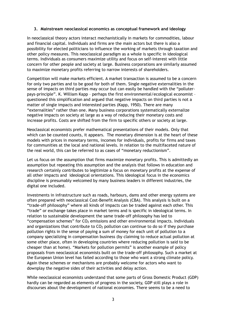#### **3. Mainstream neoclassical economics as conceptual framework and ideology**

In neoclassical theory actors interact mechanistically in markets for commodities, labour and financial capital. Individuals and firms are the main actors but there is also a possibility for elected politicians to influence the working of markets through taxation and other policy measures. This neoclassical paradigm as a whole is specific in ideological terms. Individuals as consumers maximize utility and focus on self-interest with little concern for other people and society at large. Business corporations are similarly assumed to maximize monetary profits referring to narrow interests of shareholders.

Competition will make markets efficient. A market transaction is assumed to be a concern for only two parties and to be good for both of them. Single negative externalities in the sense of impacts on third parties may occur but can easily be handled with the "polluterpays-principle". K. William Kapp – perhaps the first environmental/ecological economist – questioned this simplification and argued that negative impacts on third parties is not a matter of single impacts and interested parties (Kapp, 1950). There are many "externalities" rather than one. Many business corporations systematically externalize negative impacts on society at large as a way of reducing their monetary costs and increase profits. Costs are shifted from the firm to specific others or society at large.

Neoclassical economists prefer mathematical presentations of their models. Only that which can be counted counts, it appears. The monetary dimension is at the heart of these models with prices in monetary terms, incomes for individuals, profits for firms and taxes for communities at the local and national levels. In relation to the multifaceted nature of the real world, this can be referred to as cases of "monetary reductionism".

Let us focus on the assumption that firms maximize monetary profits. This is admittedly an assumption but repeating this assumption and the analysis that follows in education and research certainly contributes to legitimize a focus on monetary profits at the expense of all other impacts and ideological orientations. This ideological focus in the economics discipline is presumably welcomed by many business leaders in different industries, the digital one included.

Investments in infrastructure such as roads, harbours, dams and other energy systems are often prepared with neoclassical Cost-Benefit Analysis (CBA). This analysis is built on a "trade-off philosophy" where all kinds of impacts can be traded against each other. This "trade" or exchange takes place in market terms and is specific in ideological terms. In relation to sustainable development the same trade-off philosophy has led to "compensation schemes" for  $CO<sub>2</sub>$  emissions and other environmental impacts. Individuals and organizations that contribute to  $CO<sub>2</sub>$  pollution can continue to do so if they purchase pollution rights in the sense of paying a sum of money for each unit of pollution to a company specializing in compensation business (by claiming to reduce actual pollution at some other place, often in developing countries where reducing pollution is said to be cheaper than at home). "Markets for pollution permits" is another example of policy proposals from neoclassical economists built on the trade-off philosophy. Such a market at the European Union level has failed according to those who want a strong climate policy. Again these schemes or mechanisms are probably welcome for actors who want to downplay the negative sides of their activities and delay action.

While neoclassical economists understand that some parts of Gross Domestic Product (GDP) hardly can be regarded as elements of progress in the society, GDP still plays a role in discourses about the development of national economies. There seems to be a need to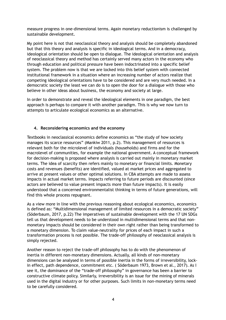measure progress in one-dimensional terms. Again monetary reductionism is challenged by sustainable development.

My point here is not that neoclassical theory and analysis should be completely abandoned but that this theory and analysis is specific in ideological terms. And in a democracy, ideological orientation should be open to dialogue. The ideological orientation and analysis of neoclassical theory and method has certainly served many actors in the economy who through education and political pressure have been indoctrinated into a specific belief system. The problem now is that we are locked into this belief system with connected institutional framework in a situation where an increasing number of actors realize that competing ideological orientations have to be considered and are very much needed. In a democratic society the least we can do is to open the door for a dialogue with those who believe in other ideas about business, the economy and society at large.

In order to demonstrate and reveal the ideological elements in one paradigm, the best approach is perhaps to compare it with another paradigm. This is why we now turn to attempts to articulate ecological economics as an alternative.

#### **4. Reconsidering economics and the economy**

Textbooks in neoclassical economics define economics as "the study of how society manages its scarce resources" (Mankiw 2011, p.2). This management of resources is relevant both for the microlevel of individuals (households) and firms and for the macrolevel of communities, for example the national government. A conceptual framework for decision-making is proposed where analysis is carried out mainly in monetary market terms. The idea of scarcity then refers mainly to monetary or financial limits. Monetary costs and revenues (benefits) are identified, valued at market prices and aggregated to arrive at present values or other optimal solutions. In CBA attempts are made to assess impacts in actual market terms. Impacts referring to future periods are discounted (since actors are believed to value present impacts more than future impacts). It is easily understood that a concerned environmentalist thinking in terms of future generations, will find this whole process repugnant.

As a view more in line with the previous reasoning about ecological economics, economics is defined as: "Multidimensional management of limited resources in a democratic society" (Söderbaum, 2017, p.22) The imperatives of sustainable development with the 17 UN SDGs tell us that development needs to be understood in multidimensional terms and that nonmonetary impacts should be considered in their own right rather than being transformed to a monetary dimension. To claim value-neutrality for prices of each impact in such a transformation process is not possible. The trade-off philosophy of neoclassical analysis is simply rejected.

Another reason to reject the trade-off philosophy has to do with the phenomenon of inertia in different non-monetary dimensions. Actually, all kinds of non-monetary dimensions can be analysed in terms of possible inertia in the forms of irreversibility, lockin effect, path dependence, commitment etc. ( Söderbaum 1973, Brown et al., 2017). As I see it, the dominance of the "trade-off philosophy" in governance has been a barrier to constructive climate policy. Similarly, irreversibility is an issue for the mining of minerals used in the digital industry or for other purposes. Such limits in non-monetary terms need to be carefully considered.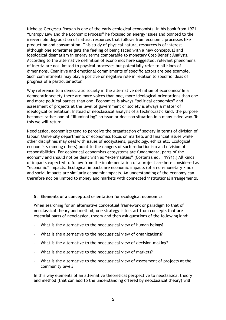Nicholas Gergescu-Roegan is one of the early ecological economists. In his book from 1971 "Entropy Law and the Economic Process" he focused on energy issues and pointed to the irreversible degradation of natural resources that follows from economic processes like production and consumption. This study of physical natural resources is of interest although one sometimes gets the feeling of being faced with a new conceptual and ideological dogmatism in energy terms comparable to monetary Cost-Benefit Analysis. According to the alternative definition of economics here suggested, relevant phenomena of inertia are not limited to physical processes but potentially refer to all kinds of dimensions. Cognitive and emotional commitments of specific actors are one example. Such commitments may play a positive or negative role in relation to specific ideas of progress of a particular actor.

Why reference to a democratic society in the alternative definition of economics? In a democratic society there are more voices than one, more ideological orientations than one and more political parties than one. Economics is always "political economics" and assessment of projects at the level of government or society is always a matter of ideological orientation. Instead of neoclassical analysis of a technocratic kind, the purpose becomes rather one of "illuminating" an issue or decision situation in a many-sided way. To this we will return.

Neoclassical economists tend to perceive the organization of society in terms of division of labour. University departments of economics focus on markets and financial issues while other disciplines may deal with issues of ecosystems, psychology, ethics etc. Ecological economists (among others) point to the dangers of such reductionism and division of responsibilities. For ecological economists ecosystems are fundamental parts of the economy and should not be dealt with as "externalities" (Costanza ed. , 1991).) All kinds of impacts expected to follow from the implementation of a project are here considered as "economic" impacts. Ecological impacts are economic impacts (of a non-monetary kind) and social impacts are similarly economic impacts. An understanding of the economy can therefore not be limited to money and markets with connected institutional arrangements.

#### **5. Elements of a conceptual orientation for ecological economics**

When searching for an alternative conceptual framework or paradigm to that of neoclassical theory and method, one strategy is to start from concepts that are essential parts of neoclassical theory and then ask questions of the following kind:

- What is the alternative to the neoclassical view of human beings?
- What is the alternative to the neoclassical view of organizations?
- What is the alternative to the neoclassical view of decision-making?
- What is the alternative to the neoclassical view of markets?
- What is the alternative to the neoclassical view of assessment of projects at the community level?

In this way elements of an alternative theoretical perspective to neoclassical theory and method (that can add to the understanding offered by neoclassical theory) will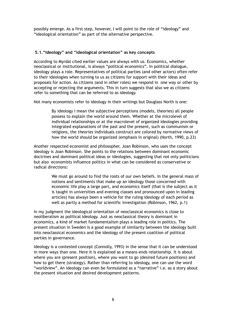possibly emerge. As a first step, however, I will point to the role of "ideology" and "ideological orientation" as part of the alternative perspective.

#### **5.1."Ideology" and "ideological orientation" as key concepts**

According to Myrdal cited earlier values are always with us. Economics, whether neoclassical or institutional, is always "political economics". In political dialogue, ideology plays a role. Representatives of political parties (and other actors) often refer to their ideologies when turning to us as citizens for support with their ideas and proposals for action. As citizens (and in other roles) we respond in one way or other by accepting or rejecting the arguments. This in turn suggests that also we as citizens refer to something that can be referred to as ideology.

Not many economists refer to ideology in their writings but Douglass North is one:

By ideology I mean the subjective perceptions (models, theories) all people possess to explain the world around them. Whether at the microlevel of individual relationships or at the macrolevel of organized ideologies providing integrated explanations of the past and the present, such as communism or religions, the *theories* individuals construct are *colored* by normative views of how the world should be organized (emphasis in original) (North, 1990, p.23)

Another respected economist and philosopher, Joan Robinson, who uses the concept ideology is Joan Robinson. She points to the relations between dominant economic doctrines and dominant political ideas or ideologies, suggesting that not only politicians but also economists influence politics in what can be considered as conservative or radical directions:

> We must go around to find the roots of our own beliefs. In the general mass of notions and sentiments that make up an ideology those concerned with economic life play a large part, and economics itself (that is the subject as it is taught in universities and evening classes and pronounced upon in leading articles) has always been a vehicle for the ruling ideology of each period as well as partly a method for scientific investigation (Robinson, 1962, p.1)

In my judgment the ideological orientation of neoclassical economics is close to neoliberalism as political ideology. Just as neoclassical theory is dominant in economics, a kind of market fundamentalism plays a leading role in politics. The present situation in Sweden is a good example of similarity between the ideology built into neoclassical economics and the ideology of the present coalition of political parties in governance.

Ideology is a contested concept (Connolly, 1993) in the sense that it can be understood in more ways than one. Here it is explained as a means-ends relationship. It is about where you are (present position), where you want to go (desired future positions) and how to get there (strategy). Rather than referring to ideology, one can use the word "worldview". An ideology can even be formulated as a "narrative" i.e. as a story about the present situation and desired development patterns.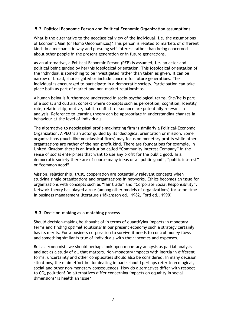#### **5.2. Political Economic Person and Political Economic Organization assumptions**

What is the alternative to the neoclassical view of the individual, i.e. the assumptions of Economic Man (or Homo Oeconomicus)? This person is related to markets of different kinds in a mechanistic way and pursuing self-interest rather than being concerned about other people in the present generation or in future generations.

As an alternative, a Political Economic Person (PEP) is assumed, i.e. an actor and political being guided by her/his ideological orientation. This ideological orientation of the individual is something to be investigated rather than taken as given. It can be narrow of broad, short-sighted or include concern for future generations. The individual is encouraged to participate in a democratic society. Participation can take place both as part of market and non-market relationships.

A human being is furthermore understood in socio-psychological terms. She/he is part of a social and cultural context where concepts such as perception, cognition, identity, role, relationship, motive, habit, conflict, dissonance are potentially relevant in analysis. Reference to learning theory can be appropriate in understanding changes in behaviour at the level of individuals.

The alternative to neoclassical profit-maximizing firm is similarly a Political-Economic Organization. A PEO is an actor guided by its ideological orientation or mission. Some organizations (much like neoclassical firms) may focus on monetary profits while other organizations are rather of the non-profit kind. There are foundations for example. In United Kingdom there is an institution called "Community Interest Company" in the sense of social enterprises that want to use any profit for the public good. In a democratic society there are of course many ideas of a "public good", "public interest" or "common good".

Mission, relationship, trust, cooperation are potentially relevant concepts when studying single organizations and organizations in networks. Ethics becomes an issue for organizations with concepts such as "fair trade" and "Corporate Social Responsibility". Network theory has played a role (among other models of organizations) for some time in business management literature (Håkansson ed., 1982, Ford ed., 1990)

#### **5.3. Decision-making as a matching process**

Should decision-making be thought of in terms of quantifying impacts in monetary terms and finding optimal solutions? In our present economy such a strategy certainly has its merits. For a business corporation to survive it needs to control money flows and something similar is true of individuals with their incomes and expenses.

But as economists we should perhaps look upon monetary analysis as partial analysis and not as a study of all that matters. Non-monetary impacts with inertia in different forms, uncertainty and other complexities should also be considered. In many decision situations, the main effort in illuminating impacts should perhaps refer to ecological, social and other non-monetary consequences. How do alternatives differ with respect to CO2 pollution? Do alternatives differ concerning impacts on equality in social dimensions? Is health an issue?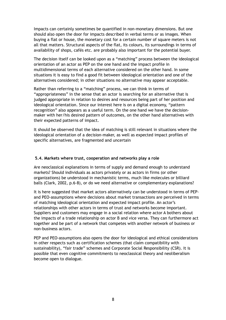Impacts can certainly sometimes be quantified in non-monetary dimensions. But one should also open the door for impacts described in verbal terms or as images. When buying a flat or house, the monetary cost for a certain number of square meters is not all that matters. Structural aspects of the flat, its colours, its surroundings in terms of availability of shops, cafés etc. are probably also important for the potential buyer.

The decision itself can be looked upon as a "matching" process between the ideological orientation of an actor as PEP on the one hand and the impact profile in multidimensional terms of each alternative considered on the other hand. In some situations it is easy to find a good fit between ideological orientation and one of the alternatives considered; in other situations no alternative may appear acceptable.

Rather than referring to a "matching" process, we can think in terms of "appropriateness" in the sense that an actor is searching for an alternative that is judged appropriate in relation to desires and resources being part of her position and ideological orientation. Since our interest here is on a digital economy, "pattern recognition" also appears as a useful term. On the one hand we have the decisionmaker with her/his desired pattern of outcomes, on the other hand alternatives with their expected patterns of impact.

It should be observed that the idea of matching is still relevant in situations where the ideological orientation of a decision-maker, as well as expected impact profiles of specific alternatives, are fragmented and uncertain

#### **5.4. Markets where trust, cooperation and networks play a role**

Are neoclassical explanations in terms of supply and demand enough to understand markets? Should individuals as actors privately or as actors in firms (or other organizations) be understood in mechanistic terms, much like molecules or billiard balls (Clark, 2002, p.6-8), or do we need alternative or complementary explanations?

It is here suggested that market actors alternatively can be understood in terms of PEPand PEO-assumptions where decisions about market transactions are perceived in terms of matching ideological orientation and expected impact profile. An actor's relationships with other actors in terms of trust and networks become important. Suppliers and customers may engage in a social relation where actor A bothers about the impacts of a trade relationship on actor B and vice versa. They can furthermore act together and be part of a network that competes with another network of business or non-business actors.

PEP and PEO-assumptions also opens the door for ideological and ethical considerations in other respects such as certification schemes (that claim compatibility with sustainability), "fair trade" schemes and Corporate Social Responsibility (CSR). It is possible that even cognitive commitments to neoclassical theory and neoliberalism become open to dialogue.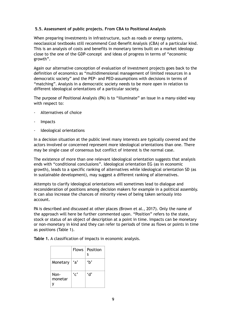#### **5.5. Assessment of public projects. From CBA to Positional Analysis**

When preparing investments in infrastructure, such as roads or energy systems, neoclassical textbooks still recommend Cost-Benefit Analysis (CBA) of a particular kind. This is an analysis of costs and benefits in monetary terms built on a market ideology close to the one of the GDP-concept and ideas of progress in terms of "economic growth".

Again our alternative conception of evaluation of investment projects goes back to the definition of economics as "multidimensional management of limited resources in a democratic society" and the PEP- and PEO-assumptions with decisions in terms of "matching". Analysis in a democratic society needs to be more open in relation to different ideological orientations of a particular society.

The purpose of Positional Analysis (PA) is to "illuminate" an issue in a many-sided way with respect to:

- Alternatives of choice
- Impacts
- Ideological orientations

In a decision situation at the public level many interests are typically covered and the actors involved or concerned represent more ideological orientations than one. There may be single case of consensus but conflict of interest is the normal case.

The existence of more than one relevant ideological orientation suggests that analysis ends with "conditional conclusions". Ideological orientation EG (as in economic growth), leads to a specific ranking of alternatives while ideological orientation SD (as in sustainable development), may suggest a different ranking of alternatives.

Attempts to clarify ideological orientations will sometimes lead to dialogue and reconsideration of positions among decision makers for example in a political assembly. It can also increase the chances of minority views of being taken seriously into account.

PA is described and discussed at other places (Brown et al., 2017). Only the name of the approach will here be further commented upon. "Position" refers to the state, stock or status of an object of description at a point in time. Impacts can be monetary or non-monetary in kind and they can refer to periods of time as flows or points in time as positions (Table 1).

|                 |      | Flows   Position<br>S |
|-----------------|------|-----------------------|
| Monetary        | ʻa'  | ʻb'                   |
| Non-<br>monetar | 'ن ' | 'ሰ'                   |

**Table 1.** A classification of impacts in economic analysis.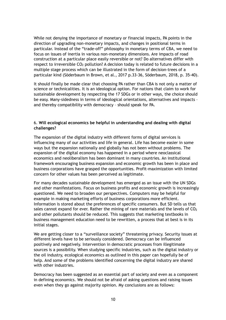While not denying the importance of monetary or financial impacts, PA points in the direction of upgrading non-monetary impacts, and changes in positional terms in particular. Instead of the "trade-off" philosophy in monetary terms of CBA, we need to focus on issues of inertia in various non-monetary dimensions. Are impacts of road construction at a particular place easily reversible or not? Do alternatives differ with respect to irreversible  $CO<sub>2</sub>$  pollution? A decision today is related to future decisions in a multiple stage process which can be illustrated in the form of decision-trees of a particular kind (Söderbaum in Brown, et al., 2017 p.33-36, Söderbaum, 2018, p. 35-40).

It should finally be made clear that choosing PA rather than CBA is not only a matter of science or technicalities. It is an ideological option. For nations that claim to work for sustainable development by respecting the 17 SDGs or in other ways, the choice should be easy. Many-sidedness in terms of ideological orientations, alternatives and impacts – and thereby compatibility with democracy – should speak for PA.

#### 6. **Will ecological economics be helpful in understanding and dealing with digital challenges?**

The expansion of the digital industry with different forms of digital services is influencing many of our activities and life in general. Life has become easier in some ways but the expansion nationally and globally has not been without problems. The expansion of the digital economy has happened in a period where neoclassical economics and neoliberalism has been dominant in many countries. An institutional framework encouraging business expansion and economic growth has been in place and business corporations have grasped the opportunities. Profit-maximization with limited concern for other values has been perceived as legitimate.

For many decades sustainable development has emerged as an issue with the UN SDGs and other manifestations. Focus on business profits and economic growth is increasingly questioned. We need to broaden our perspectives. Computers may be helpful for example in making marketing efforts of business corporations more efficient. Information is stored about the preferences of specific consumers. But SD tells us that sales cannot expand for ever. Rather the mining of rare materials and the levels of  $CO<sub>2</sub>$ and other pollutants should be reduced. This suggests that marketing textbooks in business management education need to be rewritten, a process that at best is in its initial stages.

We are getting closer to a "surveillance society" threatening privacy. Security issues at different levels have to be seriously considered. Democracy can be influenced positively and negatively. Intervention in democratic processes from illegitimate sources is a possibility. When studying specific industries, such as the digital industry or the oil industry, ecological economics as outlined in this paper can hopefully be of help. And some of the problems identified concerning the digital industry are shared with other industries.

Democracy has been suggested as an essential part of society and even as a component in defining economics. We should not be afraid of asking questions and raising issues even when they go against majority opinion. My conclusions are as follows: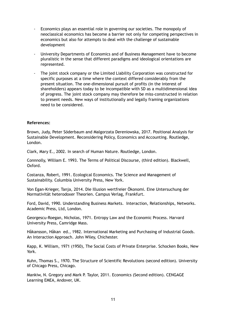- Economics plays an essential role in governing our societies. The monopoly of neoclassical economics has become a barrier not only for competing perspectives in economics but also for attempts to deal with the challenge of sustainable development
- University Departments of Economics and of Business Management have to become pluralistic in the sense that different paradigms and ideological orientations are represented.
- The joint stock company or the Limited Liability Corporation was constructed for specific purposes at a time where the context differed considerably from the present situation. The one-dimensional pursuit of profits (in the interest of shareholders) appears today to be incompatible with SD as a multidimensional idea of progress. The joint stock company may therefore be miss-constructed in relation to present needs. New ways of institutionally and legally framing organizations need to be considered.

#### **References:**

Brown, Judy, Peter Söderbaum and Malgorzata Dereniowska, 2017. Positional Analysis for Sustainable Development. Reconsidering Policy, Economics and Accounting. Routledge, London.

Clark, Mary E., 2002. In search of Human Nature. Routledge, London.

Connnolly, William E. 1993. The Terms of Political Discourse, (third edition). Blackwell, Oxford.

Costanza, Robert, 1991. Ecological Economics. The Science and Management of Sustainability. Columbia University Press, New York.

Von Egan-Krieger, Tanja, 2014. Die Illusion wertfreier Ökonomi. Eine Untersuchung der Normativität heterodoxer Theorien. Campus Verlag, Frankfurt.

Ford, David, 1990. Understanding Business Markets. Interaction, Relationships, Networks. Academic Press, Ltd, London.

Georgescu-Roegan, Nicholas, 1971. Entropy Law and the Economic Process. Harvard University Press, Camridge Mass.

Håkansson, Håkan ed., 1982. International Marketing and Purchasing of Industrial Goods. An Interaction Approach. John Wiley, Chichester.

Kapp, K. William, 1971 (1950), The Social Costs of Private Enterprise. Schocken Books, New York.

Kuhn, Thomas S., 1970. The Structure of Scientific Revolutions (second edition). University of Chicago Press, Chicago.

Mankiw, N. Gregory and Mark P. Taylor, 2011. Economics (Second edition). CENGAGE Learning EMEA, Andover, UK.